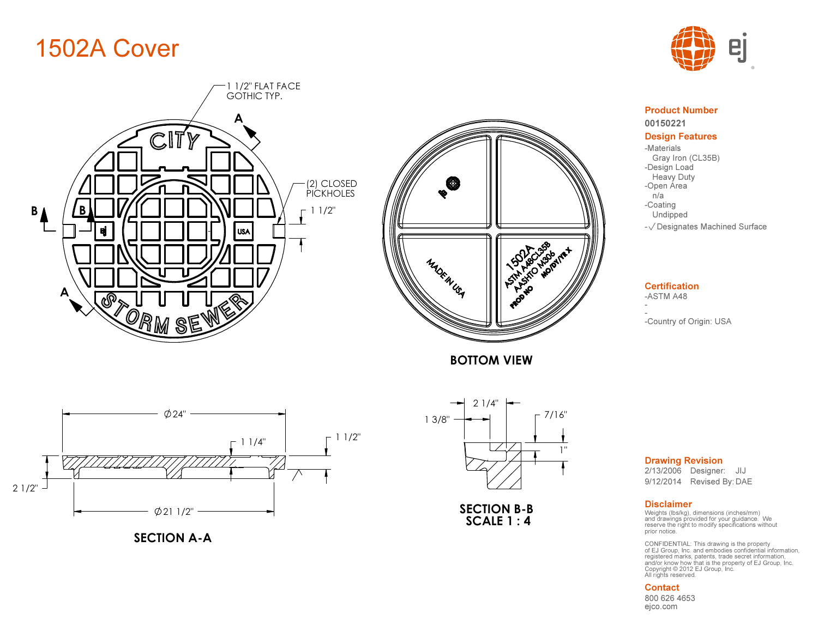# 1502A Cover





BOTTOM VIEW



00150221Product Number

#### Design Features

Gray Iron (CL35B) -Coating Undipped-Materials-Design Load Heavy Dutyn/a-Open Area

- $\sqrt{}$  Designates Machined Surface

## **Certification**

-<br>-Country of Origin: USA



SECTION A-A



SECTION B-B SCALE 1 : 4

Drawing Revision

9/12/2014 Revised By: DAE 2/13/2006 Designer: JIJ

#### Disclaimer

-<br>ASTM A48<br>-<br>-Country of Origin: USA<br>2/13/2006 Designer: JIJ<br>9/12/2014 Revised By: DAE<br>Disclaimer<br>Weights (Ibs/kg), dimensions (inches/mm)<br>and drawings provided for your guidance. We<br>prior notice.<br>prior notice. Weights (lbs/kg), dimensions (inches/mm) and drawings provided for your guidance. We

registered marks, patents, trade secret information, All rights reserved. and/or know how that is the property of EJ Group, Inc. Copyright © 2012 EJ Group, Inc. CONFIDENTIAL: This drawing is the property of EJ Group, Inc. and embodies confidential information,

#### Contact

ejco.com800 626 4653